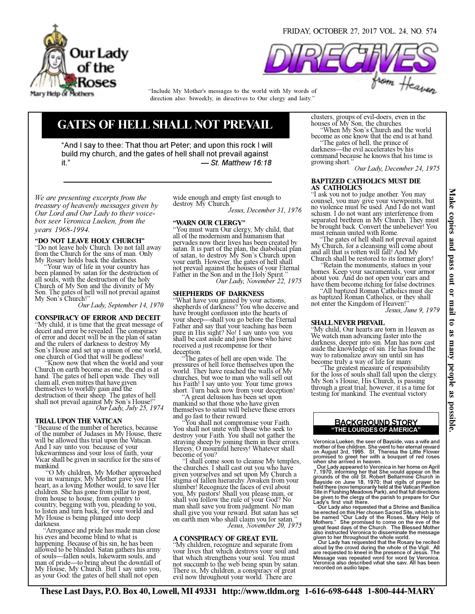

FRIDAY, OCTOBER 27, 2017 VOL. 24, NO. 574



direction also: biweekly, in directives to Our clergy and laity." "Include My Mother's messages to the world with My words of

# GATES OF HELL SHALL NOT PREVAIL

"And I say to thee: That thou art Peter; and upon this rock I will build my church, and the gates of hell shall not prevail against it." — St. Matthew 16:18

We are presenting excerpts from the treasury of heavenly messages given by Our Lord and Our Lady to their voicebox seer Veronica Lueken, from the years 1968-1994.

# "DO NOT LEAVE HOLY CHURCH"

"Do not leave holy Church. Do not fall away from the Church for the sins of man. Only My Rosary holds back the darkness.

 "Your way of life in your country has been planned by satan for the destruction of all souls, with the destruction of the holy Church of My Son and the divinity of My Son. The gates of hell will not prevail against<br>My Son's Church!"

Our Lady, September 14, 1970

CONSPIRACY OF ERROR AND DECEIT "My child, it is time that the great message of deceit and error be revealed. The conspiracy of error and deceit will be in the plan of satan and the rulers of darkness to destroy My Son's House and set up a union of one world, one church of God that will be godless!

 "Know now that when the world and your Church on earth become as one, the end is at hand. The gates of hell open wide. They will claim all, even mitres that have given themselves to worldly gain and the destruction of their sheep. The gates of hell shall not prevail against My Son's House!"<br>Our Lady, July 25, 1974

# TRIAL UPON THE VATICAN

"Because of the number of heretics, because of the number of Judases in My House, there will be allowed this trial upon the Vatican. And I say unto you: because of your lukewarmness and your loss of faith, your Vicar shall be given in sacrifice for the sins of mankind.

 "O My children, My Mother approached you in warnings; My Mother gave you Her heart, as a loving Mother would, to save Her children. She has gone from pillar to post, from house to house, from country to<br>country, begging with you, pleading to you, to listen and turn back, for your world and My House is being plunged into deep darkness.

 "Arrogance and pride has made man close his eyes and become blind to what is happening. Because of his sin, he has been allowed to be blinded. Satan gathers his army of souls—fallen souls, lukewarm souls, and man of pride—to bring about the downfall of My House, My Church. But I say unto you, as your God: the gates of hell shall not open

wide enough and empty fast enough to destroy My Church."

Jesus, December 31, 1976

#### "WARN OUR CLERGY"

"You must warn Our clergy, My child, that all of the modernism and humanism that pervades now their lives has been created by satan. It is part of the plan, the diabolical plan of satan, to destroy My Son's Church upon your earth. However, the gates of hell shall not prevail against the houses of your Eternal Our Lady, November 22, 1975

# SHEPHERDS OF DARKNESS

"What have you gained by your actions, shepherds of darkness? You who deceive and have brought confusion into the hearts of your sheep—shall you go before the Eternal Father and say that your teaching has been pure in His sight? No! I say unto you: you shall be cast aside and join those who have received a just recompense for their deception.

The gates of hell are open wide. The pressures of hell force themselves upon the world. They have reached the walls of My churches, but woe to man who will sell out his Faith! I say unto you: Your time grows short. Turn back now from your deception!

 "A great delusion has been set upon mankind so that those who have given themselves to satan will believe these errors and go fast to their reward.

You shall not compromise your Faith. You shall not unite with those who seek to destroy your Faith. You shall not gather the straying sheep by joining them in their errors. Heresy, O mournful heresy! Whatever shall become of you?<br>
"I shall come soon to cleanse My temples,

the churches. I shall cast out you who have given yourselves and set upon My Church a stigma of fallen hierarchy. Awaken from your slumber! Recognize the faces of evil about you, My pastors! Shall you please man, or shall you follow the rule of your God? No man shall save you from judgment. No man shall give you your reward. But satan has set on earth men who shall claim you for satan." Jesus, November 20, 1975

# A CONSPIRACY OF GREAT EVIL

"My children, recognize and separate from your lives that which destroys your soul and that which strengthens your soul. You must not succumb to the web being spun by satan. There is, My children, a conspiracy of great evil now throughout your world. There are

clusters, groups of evil-doers, even in the houses of My Son, the churches.

 "When My Son's Church and the world become as one know that the end is at hand. The gates of hell, the prince of

darkness—the evil accelerates by his command because he knows that his time is growing short."

Our Lady, December 24, 1975

#### BAPTIZED CATHOLICS MUST DIE AS CATHOLICS

"I ask you not to judge another. You may counsel, you may give your viewpoints, but no violence must be used. And I do not want schism. I do not want any interference from separated brethren in My Church. They must be brought back. Convert the unbeliever! You must remain united with Rome.<br>
"The gates of hell shall not prevail against

My Church, for a cleansing will come about<br>and all that is rotten will fall! And My

Church shall be restored to its former glory!<br>"Retain the monuments, statues in your" homes. Keep your sacramentals, your armor about you. And do not open your ears and have them become itching for false doctrines.

 "All baptized Roman Catholics must die as baptized Roman Catholics, or they shall not enter the Kingdom of Heaven!" Jesus, June 9, 1979

## SHALL NEVER PREVAIL

"My child, Our hearts are torn in Heaven as We watch man advancing faster into the darkness, deeper into sin. Man has now cast aside the knowledge of sin. He has found the way to rationalize away sin until sin has become truly a way of life for many.<br>
"The greatest measure of responsibility"

for the loss of souls shall fall upon the clergy. My Son's House, His Church, is passing through a great trial; however, it is a time for testing for mankind. The eventual victory

# "THE LOURDES OF AMERICA" BACKGROUND STORY

Veronica Lueken, the seer of Bayside, was a wife and mother of five children. She went to her eternal reward<br>on August 3rd, 1995. St. Theresa the Little Flower<br>promised to greet her with a bouquet of red roses<br>when she arrived in heaven.<br>Our Lady appeared to Veronica in her

7, 1970, informing her that She would appear on the<br>grounds of the old St. Robert Bellarmine Church in<br>Bayside on June 18, 1970; that vigils of prayer be<br>held there (now temporarily held at the Vatican Pavilion<br>Site in Flu

Lady's first visit there.<br>Cur Lady also requested that a Shrine and Basilica<br>be erected on this Her chosen Sacred Site, which is to<br>be named "Our Lady of the Roses, Mary Help of<br>Mothers." She promised to come on the eve of given to her throughout the whole world. Our Lady has requested that the Rosary be recited

aloud by the crowd during the whole of the Vigil. All are requested to kneel in the presence of Jesus. The Message was repeated word for word by Veronica. Veronica also described what she saw. All has been recorded on audio tape.